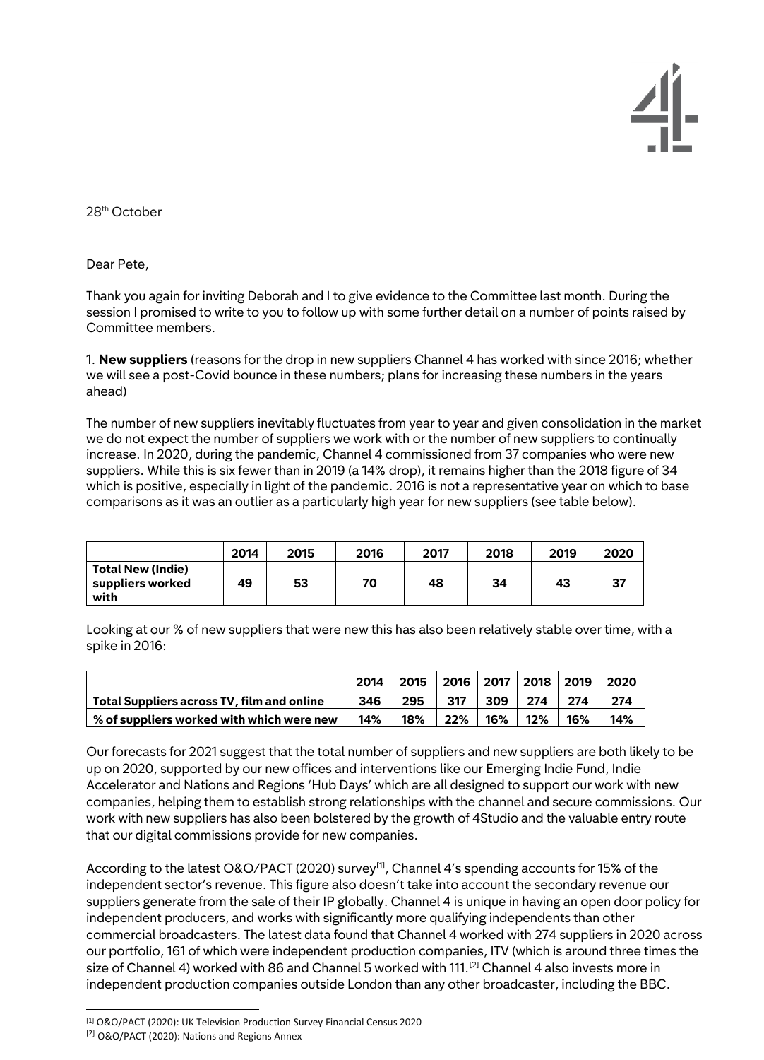

28th October

Dear Pete,

Thank you again for inviting Deborah and I to give evidence to the Committee last month. During the session I promised to write to you to follow up with some further detail on a number of points raised by Committee members.

1. **New suppliers** (reasons for the drop in new suppliers Channel 4 has worked with since 2016; whether we will see a post-Covid bounce in these numbers; plans for increasing these numbers in the years ahead)

The number of new suppliers inevitably fluctuates from year to year and given consolidation in the market we do not expect the number of suppliers we work with or the number of new suppliers to continually increase. In 2020, during the pandemic, Channel 4 commissioned from 37 companies who were new suppliers. While this is six fewer than in 2019 (a 14% drop), it remains higher than the 2018 figure of 34 which is positive, especially in light of the pandemic. 2016 is not a representative year on which to base comparisons as it was an outlier as a particularly high year for new suppliers (see table below).

|                                                      | 2014 | 2015 | 2016 | 2017 | 2018 | 2019 | 2020 |
|------------------------------------------------------|------|------|------|------|------|------|------|
| <b>Total New (Indie)</b><br>suppliers worked<br>with | 49   | 53   | 70   | 48   | 34   | 43   | 37   |

Looking at our % of new suppliers that were new this has also been relatively stable over time, with a spike in 2016:

|                                            | 2014 | 2015 |       |     | 2016 2017 2018 2019 |     | 2020 |
|--------------------------------------------|------|------|-------|-----|---------------------|-----|------|
| Total Suppliers across TV, film and online |      | 295  | - 317 | 309 | 274                 | 274 | 274  |
| % of suppliers worked with which were new  |      | 18%  | 22%   | 16% | 12%                 | 16% | 14%  |

Our forecasts for 2021 suggest that the total number of suppliers and new suppliers are both likely to be up on 2020, supported by our new offices and interventions like our Emerging Indie Fund, Indie Accelerator and Nations and Regions 'Hub Days' which are all designed to support our work with new companies, helping them to establish strong relationships with the channel and secure commissions. Our work with new suppliers has also been bolstered by the growth of 4Studio and the valuable entry route that our digital commissions provide for new companies.

According to the latest O&O/PACT (2020) survey<sup>[1]</sup>, Channel 4's spending accounts for 15% of the independent sector's revenue. This figure also doesn't take into account the secondary revenue our suppliers generate from the sale of their IP globally. Channel 4 is unique in having an open door policy for independent producers, and works with significantly more qualifying independents than other commercial broadcasters. The latest data found that Channel 4 worked with 274 suppliers in 2020 across our portfolio, 161 of which were independent production companies, ITV (which is around three times the size of Channel 4) worked with 86 and Channel 5 worked with 111.<sup>[2]</sup> Channel 4 also invests more in independent production companies outside London than any other broadcaster, including the BBC.

<sup>[1]</sup> O&O/PACT (2020): UK Television Production Survey Financial Census 2020

<sup>[2]</sup> O&O/PACT (2020): Nations and Regions Annex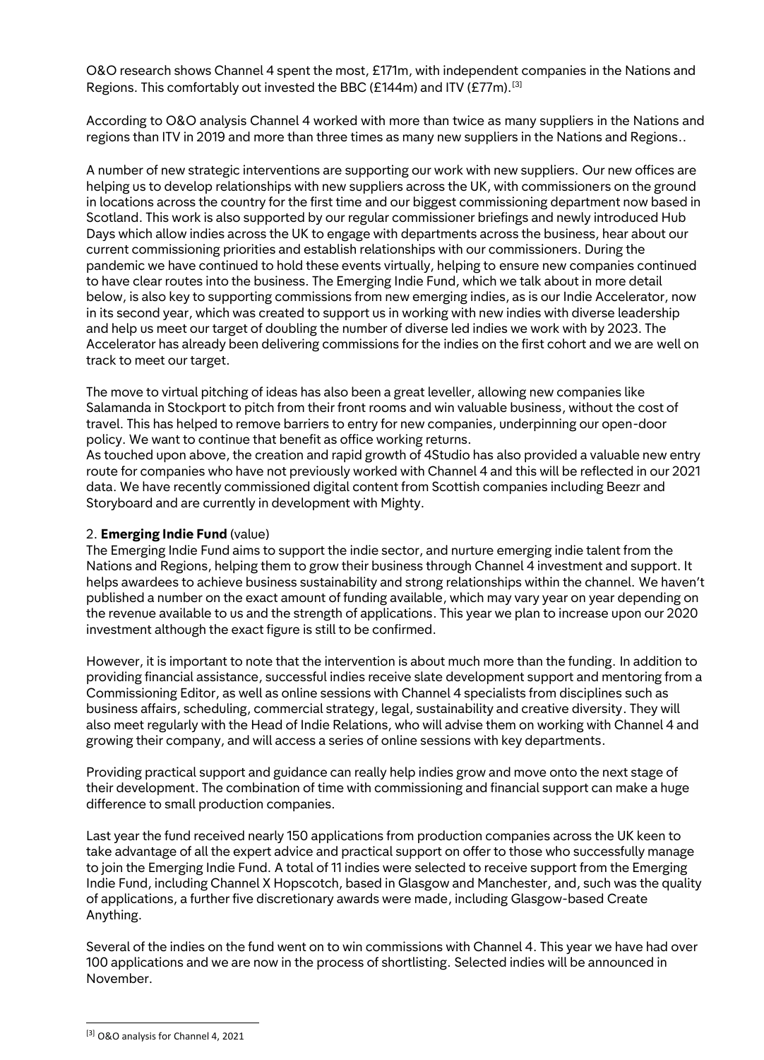O&O research shows Channel 4 spent the most, £171m, with independent companies in the Nations and Regions. This comfortably out invested the BBC (£144m) and ITV (£77m).<sup>[3]</sup>

According to O&O analysis Channel 4 worked with more than twice as many suppliers in the Nations and regions than ITV in 2019 and more than three times as many new suppliers in the Nations and Regions..

A number of new strategic interventions are supporting our work with new suppliers. Our new offices are helping us to develop relationships with new suppliers across the UK, with commissioners on the ground in locations across the country for the first time and our biggest commissioning department now based in Scotland. This work is also supported by our regular commissioner briefings and newly introduced Hub Days which allow indies across the UK to engage with departments across the business, hear about our current commissioning priorities and establish relationships with our commissioners. During the pandemic we have continued to hold these events virtually, helping to ensure new companies continued to have clear routes into the business. The Emerging Indie Fund, which we talk about in more detail below, is also key to supporting commissions from new emerging indies, as is our Indie Accelerator, now in its second year, which was created to support us in working with new indies with diverse leadership and help us meet our target of doubling the number of diverse led indies we work with by 2023. The Accelerator has already been delivering commissions for the indies on the first cohort and we are well on track to meet our target.

The move to virtual pitching of ideas has also been a great leveller, allowing new companies like Salamanda in Stockport to pitch from their front rooms and win valuable business, without the cost of travel. This has helped to remove barriers to entry for new companies, underpinning our open-door policy. We want to continue that benefit as office working returns.

As touched upon above, the creation and rapid growth of 4Studio has also provided a valuable new entry route for companies who have not previously worked with Channel 4 and this will be reflected in our 2021 data. We have recently commissioned digital content from Scottish companies including Beezr and Storyboard and are currently in development with Mighty.

## 2. **Emerging Indie Fund** (value)

The Emerging Indie Fund aims to support the indie sector, and nurture emerging indie talent from the Nations and Regions, helping them to grow their business through Channel 4 investment and support. It helps awardees to achieve business sustainability and strong relationships within the channel. We haven't published a number on the exact amount of funding available, which may vary year on year depending on the revenue available to us and the strength of applications. This year we plan to increase upon our 2020 investment although the exact figure is still to be confirmed.

However, it is important to note that the intervention is about much more than the funding. In addition to providing financial assistance, successful indies receive slate development support and mentoring from a Commissioning Editor, as well as online sessions with Channel 4 specialists from disciplines such as business affairs, scheduling, commercial strategy, legal, sustainability and creative diversity. They will also meet regularly with the Head of Indie Relations, who will advise them on working with Channel 4 and growing their company, and will access a series of online sessions with key departments.

Providing practical support and guidance can really help indies grow and move onto the next stage of their development. The combination of time with commissioning and financial support can make a huge difference to small production companies.

Last year the fund received nearly 150 applications from production companies across the UK keen to take advantage of all the expert advice and practical support on offer to those who successfully manage to join the Emerging Indie Fund. A total of 11 indies were selected to receive support from the Emerging Indie Fund, including Channel X Hopscotch, based in Glasgow and Manchester, and, such was the quality of applications, a further five discretionary awards were made, including Glasgow-based Create Anything.

Several of the indies on the fund went on to win commissions with Channel 4. This year we have had over 100 applications and we are now in the process of shortlisting. Selected indies will be announced in November.

<sup>[3]</sup> O&O analysis for Channel 4, 2021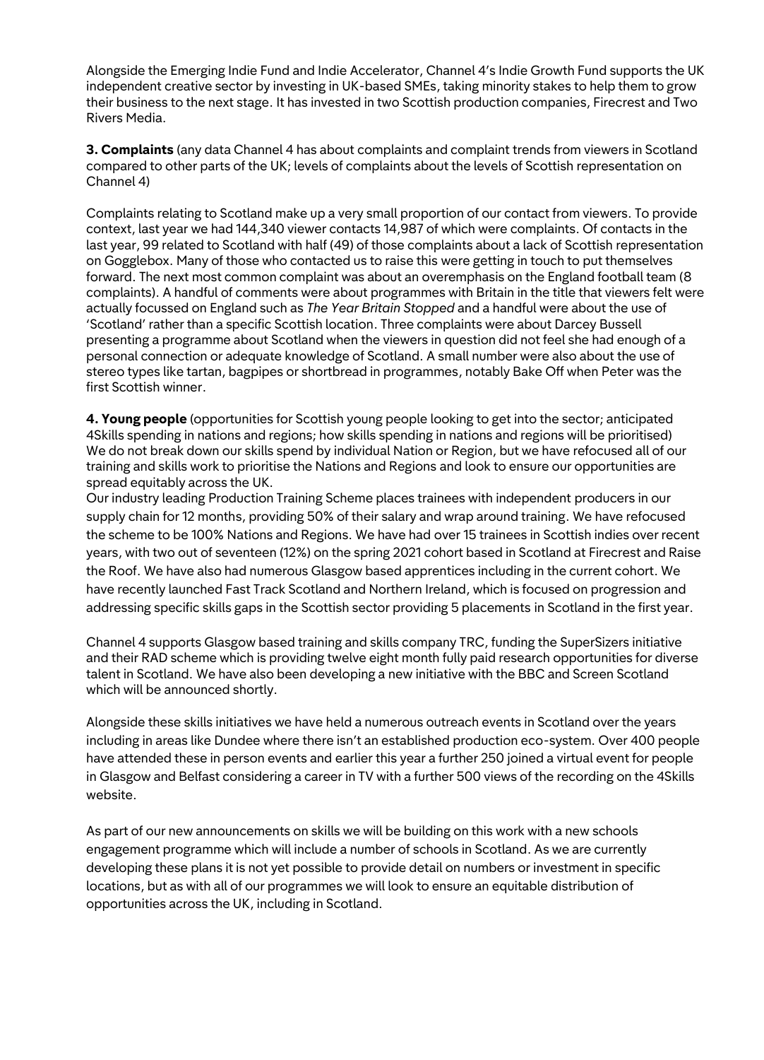Alongside the Emerging Indie Fund and Indie Accelerator, Channel 4's Indie Growth Fund supports the UK independent creative sector by investing in UK-based SMEs, taking minority stakes to help them to grow their business to the next stage. It has invested in two Scottish production companies, Firecrest and Two Rivers Media.

**3. Complaints** (any data Channel 4 has about complaints and complaint trends from viewers in Scotland compared to other parts of the UK; levels of complaints about the levels of Scottish representation on Channel 4)

Complaints relating to Scotland make up a very small proportion of our contact from viewers. To provide context, last year we had 144,340 viewer contacts 14,987 of which were complaints. Of contacts in the last year, 99 related to Scotland with half (49) of those complaints about a lack of Scottish representation on Gogglebox. Many of those who contacted us to raise this were getting in touch to put themselves forward. The next most common complaint was about an overemphasis on the England football team (8 complaints). A handful of comments were about programmes with Britain in the title that viewers felt were actually focussed on England such as *The Year Britain Stopped* and a handful were about the use of 'Scotland' rather than a specific Scottish location. Three complaints were about Darcey Bussell presenting a programme about Scotland when the viewers in question did not feel she had enough of a personal connection or adequate knowledge of Scotland. A small number were also about the use of stereo types like tartan, bagpipes or shortbread in programmes, notably Bake Off when Peter was the first Scottish winner.

**4. Young people** (opportunities for Scottish young people looking to get into the sector; anticipated 4Skills spending in nations and regions; how skills spending in nations and regions will be prioritised) We do not break down our skills spend by individual Nation or Region, but we have refocused all of our training and skills work to prioritise the Nations and Regions and look to ensure our opportunities are spread equitably across the UK.

Our industry leading Production Training Scheme places trainees with independent producers in our supply chain for 12 months, providing 50% of their salary and wrap around training. We have refocused the scheme to be 100% Nations and Regions. We have had over 15 trainees in Scottish indies over recent years, with two out of seventeen (12%) on the spring 2021 cohort based in Scotland at Firecrest and Raise the Roof. We have also had numerous Glasgow based apprentices including in the current cohort. We have recently launched Fast Track Scotland and Northern Ireland, which is focused on progression and addressing specific skills gaps in the Scottish sector providing 5 placements in Scotland in the first year.

Channel 4 supports Glasgow based training and skills company TRC, funding the SuperSizers initiative and their RAD scheme which is providing twelve eight month fully paid research opportunities for diverse talent in Scotland. We have also been developing a new initiative with the BBC and Screen Scotland which will be announced shortly.

Alongside these skills initiatives we have held a numerous outreach events in Scotland over the years including in areas like Dundee where there isn't an established production eco-system. Over 400 people have attended these in person events and earlier this year a further 250 joined a virtual event for people in Glasgow and Belfast considering a career in TV with a further 500 views of the recording on the 4Skills website.

As part of our new announcements on skills we will be building on this work with a new schools engagement programme which will include a number of schools in Scotland. As we are currently developing these plans it is not yet possible to provide detail on numbers or investment in specific locations, but as with all of our programmes we will look to ensure an equitable distribution of opportunities across the UK, including in Scotland.